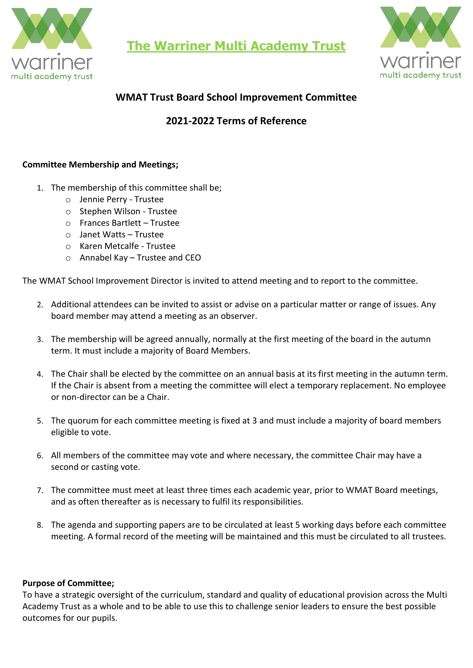

**The Warriner Multi Academy Trust**



# **WMAT Trust Board School Improvement Committee**

## **2021-2022 Terms of Reference**

#### **Committee Membership and Meetings;**

- 1. The membership of this committee shall be;
	- o Jennie Perry Trustee
	- o Stephen Wilson Trustee
	- o Frances Bartlett Trustee
	- o Janet Watts Trustee
	- o Karen Metcalfe Trustee
	- o Annabel Kay Trustee and CEO

The WMAT School Improvement Director is invited to attend meeting and to report to the committee.

- 2. Additional attendees can be invited to assist or advise on a particular matter or range of issues. Any board member may attend a meeting as an observer.
- 3. The membership will be agreed annually, normally at the first meeting of the board in the autumn term. It must include a majority of Board Members.
- 4. The Chair shall be elected by the committee on an annual basis at its first meeting in the autumn term. If the Chair is absent from a meeting the committee will elect a temporary replacement. No employee or non-director can be a Chair.
- 5. The quorum for each committee meeting is fixed at 3 and must include a majority of board members eligible to vote.
- 6. All members of the committee may vote and where necessary, the committee Chair may have a second or casting vote.
- 7. The committee must meet at least three times each academic year, prior to WMAT Board meetings, and as often thereafter as is necessary to fulfil its responsibilities.
- 8. The agenda and supporting papers are to be circulated at least 5 working days before each committee meeting. A formal record of the meeting will be maintained and this must be circulated to all trustees.

#### **Purpose of Committee;**

To have a strategic oversight of the curriculum, standard and quality of educational provision across the Multi Academy Trust as a whole and to be able to use this to challenge senior leaders to ensure the best possible outcomes for our pupils.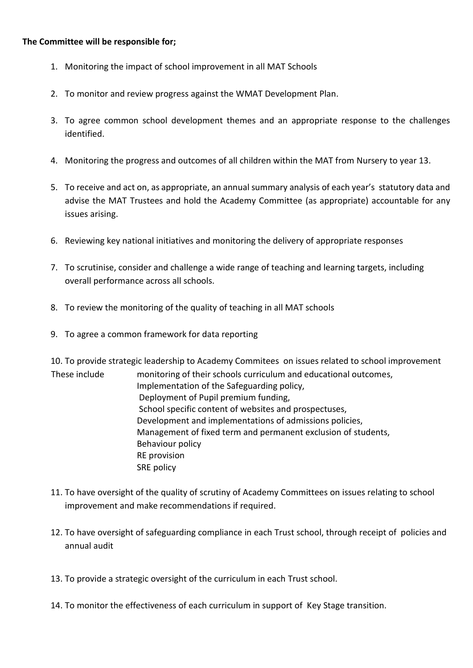#### **The Committee will be responsible for;**

- 1. Monitoring the impact of school improvement in all MAT Schools
- 2. To monitor and review progress against the WMAT Development Plan.
- 3. To agree common school development themes and an appropriate response to the challenges identified.
- 4. Monitoring the progress and outcomes of all children within the MAT from Nursery to year 13.
- 5. To receive and act on, as appropriate, an annual summary analysis of each year's statutory data and advise the MAT Trustees and hold the Academy Committee (as appropriate) accountable for any issues arising.
- 6. Reviewing key national initiatives and monitoring the delivery of appropriate responses
- 7. To scrutinise, consider and challenge a wide range of teaching and learning targets, including overall performance across all schools.
- 8. To review the monitoring of the quality of teaching in all MAT schools
- 9. To agree a common framework for data reporting

10. To provide strategic leadership to Academy Commitees on issues related to school improvement

- These include monitoring of their schools curriculum and educational outcomes, Implementation of the Safeguarding policy, Deployment of Pupil premium funding, School specific content of websites and prospectuses, Development and implementations of admissions policies, Management of fixed term and permanent exclusion of students, Behaviour policy RE provision SRE policy
- 11. To have oversight of the quality of scrutiny of Academy Committees on issues relating to school improvement and make recommendations if required.
- 12. To have oversight of safeguarding compliance in each Trust school, through receipt of policies and annual audit
- 13. To provide a strategic oversight of the curriculum in each Trust school.
- 14. To monitor the effectiveness of each curriculum in support of Key Stage transition.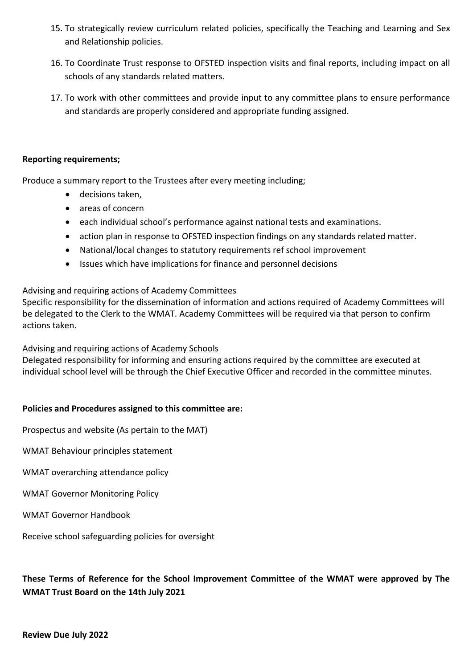- 15. To strategically review curriculum related policies, specifically the Teaching and Learning and Sex and Relationship policies.
- 16. To Coordinate Trust response to OFSTED inspection visits and final reports, including impact on all schools of any standards related matters.
- 17. To work with other committees and provide input to any committee plans to ensure performance and standards are properly considered and appropriate funding assigned.

#### **Reporting requirements;**

Produce a summary report to the Trustees after every meeting including;

- decisions taken,
- areas of concern
- each individual school's performance against national tests and examinations.
- action plan in response to OFSTED inspection findings on any standards related matter.
- National/local changes to statutory requirements ref school improvement
- Issues which have implications for finance and personnel decisions

## Advising and requiring actions of Academy Committees

Specific responsibility for the dissemination of information and actions required of Academy Committees will be delegated to the Clerk to the WMAT. Academy Committees will be required via that person to confirm actions taken.

## Advising and requiring actions of Academy Schools

Delegated responsibility for informing and ensuring actions required by the committee are executed at individual school level will be through the Chief Executive Officer and recorded in the committee minutes.

## **Policies and Procedures assigned to this committee are:**

Prospectus and website (As pertain to the MAT)

WMAT Behaviour principles statement

WMAT overarching attendance policy

WMAT Governor Monitoring Policy

WMAT Governor Handbook

Receive school safeguarding policies for oversight

## **These Terms of Reference for the School Improvement Committee of the WMAT were approved by The WMAT Trust Board on the 14th July 2021**